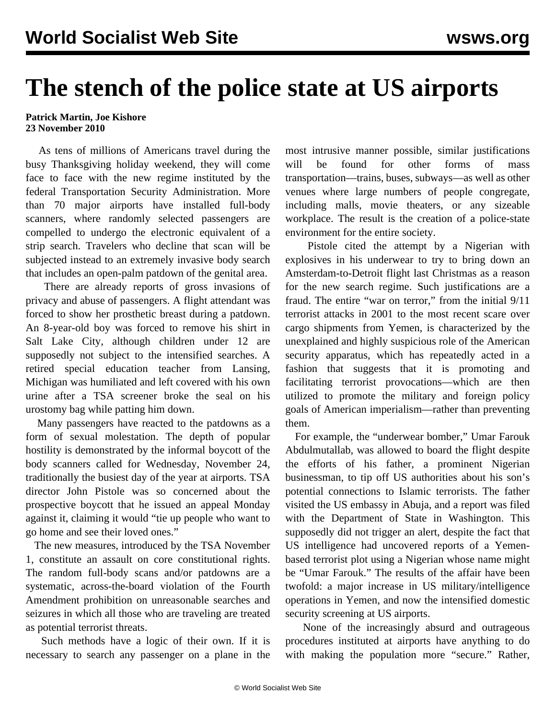## **The stench of the police state at US airports**

## **Patrick Martin, Joe Kishore 23 November 2010**

 As tens of millions of Americans travel during the busy Thanksgiving holiday weekend, they will come face to face with the new regime instituted by the federal Transportation Security Administration. More than 70 major airports have installed full-body scanners, where randomly selected passengers are compelled to undergo the electronic equivalent of a strip search. Travelers who decline that scan will be subjected instead to an extremely invasive body search that includes an open-palm patdown of the genital area.

 There are already reports of gross invasions of privacy and abuse of passengers. A flight attendant was forced to show her prosthetic breast during a patdown. An 8-year-old boy was forced to remove his shirt in Salt Lake City, although children under 12 are supposedly not subject to the intensified searches. A retired special education teacher from Lansing, Michigan was humiliated and left covered with his own urine after a TSA screener broke the seal on his urostomy bag while patting him down.

 Many passengers have reacted to the patdowns as a form of sexual molestation. The depth of popular hostility is demonstrated by the informal boycott of the body scanners called for Wednesday, November 24, traditionally the busiest day of the year at airports. TSA director John Pistole was so concerned about the prospective boycott that he issued an appeal Monday against it, claiming it would "tie up people who want to go home and see their loved ones."

 The new measures, introduced by the TSA November 1, constitute an assault on core constitutional rights. The random full-body scans and/or patdowns are a systematic, across-the-board violation of the Fourth Amendment prohibition on unreasonable searches and seizures in which all those who are traveling are treated as potential terrorist threats.

 Such methods have a logic of their own. If it is necessary to search any passenger on a plane in the most intrusive manner possible, similar justifications will be found for other forms of mass transportation—trains, buses, subways—as well as other venues where large numbers of people congregate, including malls, movie theaters, or any sizeable workplace. The result is the creation of a police-state environment for the entire society.

 Pistole cited the attempt by a Nigerian with explosives in his underwear to try to bring down an Amsterdam-to-Detroit flight last Christmas as a reason for the new search regime. Such justifications are a fraud. The entire "war on terror," from the initial 9/11 terrorist attacks in 2001 to the most recent scare over cargo shipments from Yemen, is characterized by the unexplained and highly suspicious role of the American security apparatus, which has repeatedly acted in a fashion that suggests that it is promoting and facilitating terrorist provocations—which are then utilized to promote the military and foreign policy goals of American imperialism—rather than preventing them.

 For example, the "underwear bomber," Umar Farouk Abdulmutallab, was allowed to board the flight despite the efforts of his father, a prominent Nigerian businessman, to tip off US authorities about his son's potential connections to Islamic terrorists. The father visited the US embassy in Abuja, and a report was filed with the Department of State in Washington. This supposedly did not trigger an alert, despite the fact that US intelligence had uncovered reports of a Yemenbased terrorist plot using a Nigerian whose name might be "Umar Farouk." The results of the affair have been twofold: a major increase in US military/intelligence operations in Yemen, and now the intensified domestic security screening at US airports.

 None of the increasingly absurd and outrageous procedures instituted at airports have anything to do with making the population more "secure." Rather,